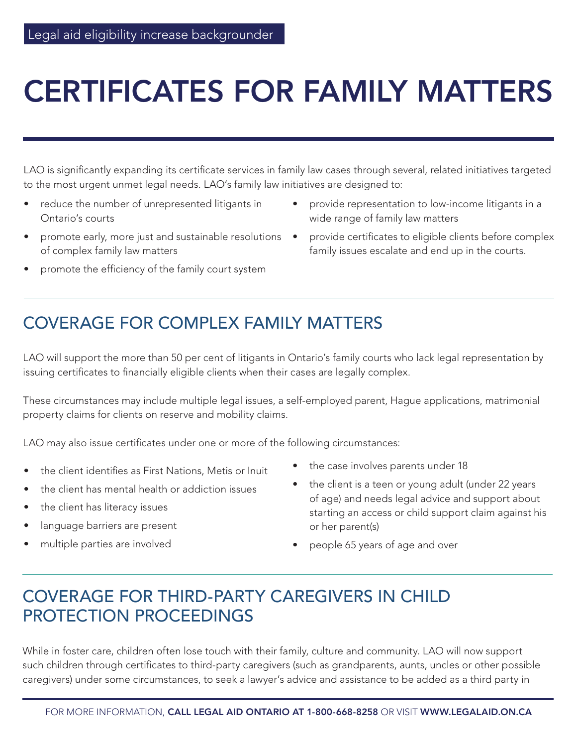# CERTIFICATES FOR FAMILY MATTERS

LAO is significantly expanding its certificate services in family law cases through several, related initiatives targeted to the most urgent unmet legal needs. LAO's family law initiatives are designed to:

- reduce the number of unrepresented litigants in Ontario's courts
- promote early, more just and sustainable resolutions of complex family law matters
- promote the efficiency of the family court system
- provide representation to low-income litigants in a wide range of family law matters
- provide certificates to eligible clients before complex family issues escalate and end up in the courts.

### COVERAGE FOR COMPLEX FAMILY MATTERS

LAO will support the more than 50 per cent of litigants in Ontario's family courts who lack legal representation by issuing certificates to financially eligible clients when their cases are legally complex.

These circumstances may include multiple legal issues, a self-employed parent, Hague applications, matrimonial property claims for clients on reserve and mobility claims.

LAO may also issue certificates under one or more of the following circumstances:

- the client identifies as First Nations, Metis or Inuit
- the client has mental health or addiction issues
- the client has literacy issues
- language barriers are present
- multiple parties are involved
- the case involves parents under 18
- the client is a teen or young adult (under 22 years of age) and needs legal advice and support about starting an access or child support claim against his or her parent(s)
- people 65 years of age and over

## COVERAGE FOR THIRD-PARTY CAREGIVERS IN CHILD PROTECTION PROCEEDINGS

While in foster care, children often lose touch with their family, culture and community. LAO will now support such children through certificates to third-party caregivers (such as grandparents, aunts, uncles or other possible caregivers) under some circumstances, to seek a lawyer's advice and assistance to be added as a third party in